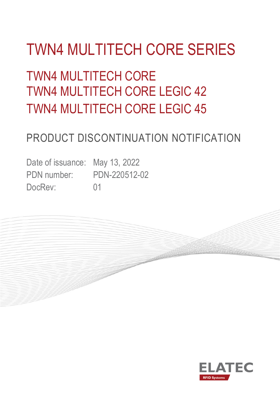# TWN4 MULTITECH CORE SERIES

# TWN4 MULTITECH CORE TWN4 MULTITECH CORE LEGIC 42 TWN4 MULTITECH CORE LEGIC 45

### PRODUCT DISCONTINUATION NOTIFICATION

**Constitution** 

Date of issuance: May 13, 2022 PDN number: PDN-220512-02 DocRev: 01

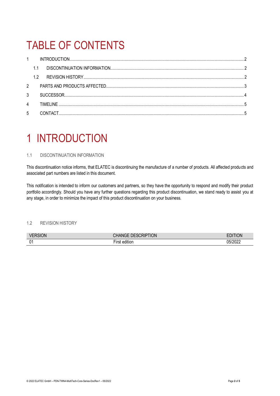## TABLE OF CONTENTS

| $\mathbf{1}$ |     |           |  |
|--------------|-----|-----------|--|
|              |     |           |  |
|              | 1.2 |           |  |
| 2            |     |           |  |
| 3            |     |           |  |
| 4            |     | TIMFI INF |  |
| 5            |     |           |  |

### <span id="page-1-0"></span>1 INTRODUCTION

### <span id="page-1-1"></span>1.1 DISCONTINUATION INFORMATION

This discontinuation notice informs, that ELATEC is discontinuing the manufacture of a number of products. All affected products and associated part numbers are listed in this document.

This notification is intended to inform our customers and partners, so they have the opportunity to respond and modify their product portfolio accordingly. Should you have any further questions regarding this product discontinuation, we stand ready to assist you at any stage, in order to minimize the impact of this product discontinuation on your business.

### <span id="page-1-2"></span>1.2 REVISION HISTORY

| VI<br>W. | <b>TION</b><br>JRIP<br>, דו                 | 71 A N                    |
|----------|---------------------------------------------|---------------------------|
| 01       | <br>$- \cdot$<br>. . r.<br>edition<br>וכ וו | 3000<br>ባፎ.<br>ንበ<br>.uzz |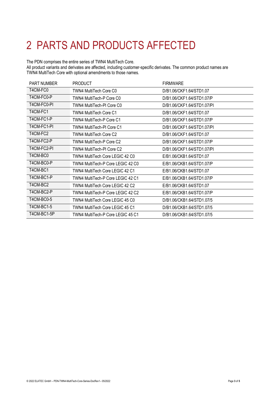# <span id="page-2-0"></span>2 PARTS AND PRODUCTS AFFECTED

### The PDN comprises the entire series of TWN4 MultiTech Core.

All product variants and derivates are affected, including customer-specific derivates. The common product names are TWN4 MultiTech Core with optional amendments to those names.

| <b>PART NUMBER</b> | <b>PRODUCT</b>                    | <b>FIRMWARE</b>            |
|--------------------|-----------------------------------|----------------------------|
| T4CM-FC0           | TWN4 MultiTech Core C0            | D/B1.06/CKF1.64/STD1.07    |
| T4CM-FC0-P         | TWN4 MultiTech-P Core C0          | D/B1.06/CKF1.64/STD1.07/P  |
| T4CM-FC0-PI        | TWN4 MultiTech-PI Core C0         | D/B1.06/CKF1.64/STD1.07/PI |
| T4CM-FC1           | <b>TWN4 MultiTech Core C1</b>     | D/B1.06/CKF1.64/STD1.07    |
| T4CM-FC1-P         | TWN4 MultiTech-P Core C1          | D/B1.06/CKF1.64/STD1.07/P  |
| T4CM-FC1-PI        | TWN4 MultiTech-PI Core C1         | D/B1.06/CKF1.64/STD1.07/PI |
| T4CM-FC2           | TWN4 MultiTech Core C2            | D/B1.06/CKF1.64/STD1.07    |
| T4CM-FC2-P         | TWN4 MultiTech-P Core C2          | D/B1.06/CKF1.64/STD1.07/P  |
| T4CM-FC2-PI        | TWN4 MultiTech-PI Core C2         | D/B1.06/CKF1.64/STD1.07/PI |
| T4CM-BC0           | TWN4 MultiTech Core LEGIC 42 C0   | E/B1.06/CKB1.64/STD1.07    |
| T4CM-BC0-P         | TWN4 MultiTech-P Core LEGIC 42 C0 | E/B1.06/CKB1.64/STD1.07/P  |
| T4CM-BC1           | TWN4 MultiTech Core LEGIC 42 C1   | E/B1.06/CKB1.64/STD1.07    |
| T4CM-BC1-P         | TWN4 MultiTech-P Core LEGIC 42 C1 | E/B1.06/CKB1.64/STD1.07/P  |
| T4CM-BC2           | TWN4 MultiTech Core LEGIC 42 C2   | E/B1.06/CKB1.64/STD1.07    |
| T4CM-BC2-P         | TWN4 MultiTech-P Core LEGIC 42 C2 | E/B1.06/CKB1.64/STD1.07/P  |
| T4CM-BC0-5         | TWN4 MultiTech Core LEGIC 45 C0   | D/B1.06/CKB1.64/STD1.07/5  |
| T4CM-BC1-5         | TWN4 MultiTech Core LEGIC 45 C1   | D/B1.06/CKB1.64/STD1.07/5  |
| T4CM-BC1-5P        | TWN4 MultiTech-P Core LEGIC 45 C1 | D/B1.06/CKB1.64/STD1.07/5  |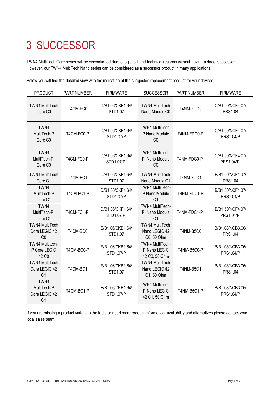# <span id="page-3-0"></span>3 SUCCESSOR

TWN4 MultiTech Core series will be discontinued due to logistical and technical reasons without having a direct successor. However, our TWN4 MultiTech Nano series can be considered as a successor product in many applications.

Below you will find the detailed view with the indication of the suggested replacement product for your device:

| <b>PRODUCT</b>                                              | <b>PART NUMBER</b> | <b>FIRMWARE</b>                | <b>SUCCESSOR</b>                                           | PART NUMBER      | <b>FIRMWARE</b>                       |
|-------------------------------------------------------------|--------------------|--------------------------------|------------------------------------------------------------|------------------|---------------------------------------|
| <b>TWN4 MultiTech</b><br>Core C <sub>0</sub>                | T4CM-FC0           | D/B1.06/CKF1.64/<br>STD1.07    | <b>TWN4 MultiTech</b><br>Nano Module C0                    | T4NM-FDC0        | C/B1.50/NCF4.07/<br><b>PRS1.04</b>    |
| TWN4<br>MultiTech-P<br>Core C <sub>0</sub>                  | T4CM-FC0-P         | D/B1.06/CKF1.64/<br>STD1.07/P  | <b>TWN4 MultiTech-</b><br>P Nano Module<br>CO              | T4NM-FDC0-P      | C/B1.50/NCF4.07/<br><b>PRS1.04/P</b>  |
| TWN4<br>MultiTech-PI<br>Core C <sub>0</sub>                 | T4CM-FC0-PI        | D/B1.06/CKF1.64/<br>STD1.07/PI | <b>TWN4 MultiTech-</b><br>PI Nano Module<br>C <sub>0</sub> | T4NM-FDC0-PI     | C/B1.50/NCF4.07/<br><b>PRS1.04/PI</b> |
| <b>TWN4 MultiTech</b><br>Core C1                            | T4CM-FC1           | D/B1.06/CKF1.64/<br>STD1.07    | <b>TWN4 MultiTech</b><br>Nano Module C1                    | T4NM-FDC1        | B/B1.50/NCF4.07/<br><b>PRS1.04</b>    |
| TWN4<br>MultiTech-P<br>Core C1                              | T4CM-FC1-P         | D/B1.06/CKF1.64/<br>STD1.07/P  | <b>TWN4 MultiTech-</b><br>P Nano Module<br>C <sub>1</sub>  | T4NM-FDC1-P      | B/B1.50/NCF4.07/<br><b>PRS1.04/P</b>  |
| TWN4<br>MultiTech-PI<br>Core C1                             | T4CM-FC1-PI        | D/B1.06/CKF1.64/<br>STD1.07/PI | <b>TWN4 MultiTech-</b><br>PI Nano Module<br>C <sub>1</sub> | T4NM-FDC1-PI     | B/B1.50/NCF4.07/<br><b>PRS1.04/PI</b> |
| <b>TWN4 MultiTech</b><br>Core LEGIC 42<br>CO                | T4CM-BC0           | E/B1.06/CKB1.64/<br>STD1.07    | <b>TWN4 MultiTech</b><br>Nano LEGIC 42<br>C0, 50 Ohm       | <b>T4NM-B5C0</b> | B/B1.08/NCB3.06/<br><b>PRS1.04</b>    |
| <b>TWN4 Multitech-</b><br>P Core LEGIC<br>42 C <sub>0</sub> | T4CM-BC0-P         | E/B1.06/CKB1.64/<br>STD1.07/P  | TWN4 MultiTech-<br>P Nano LEGIC<br>42 C0, 50 Ohm           | T4NM-B5C0-P      | B/B1.08/NCB3.06/<br><b>PRS1.04/P</b>  |
| <b>TWN4 MultiTech</b><br>Core LEGIC 42<br>C <sub>1</sub>    | T4CM-BC1           | E/B1.06/CKB1.64/<br>STD1.07    | <b>TWN4 MultiTech</b><br>Nano LEGIC 42<br>C1, 50 Ohm       | <b>T4NM-B5C1</b> | B/B1.08/NCB3.06/<br><b>PRS1.04</b>    |
| TWN4<br>MultiTech-P<br>Core LEGIC 42<br>C <sub>1</sub>      | T4CM-BC1-P         | E/B1.06/CKB1.64/<br>STD1.07/P  | TWN4 MultiTech-<br>P Nano LEGIC<br>42 C1, 50 Ohm           | T4NM-B5C1-P      | B/B1.08/NCB3.06/<br><b>PRS1.04/P</b>  |

If you are missing a product variant in the table or need more product information, availability and alternatives please contact your local sales team.